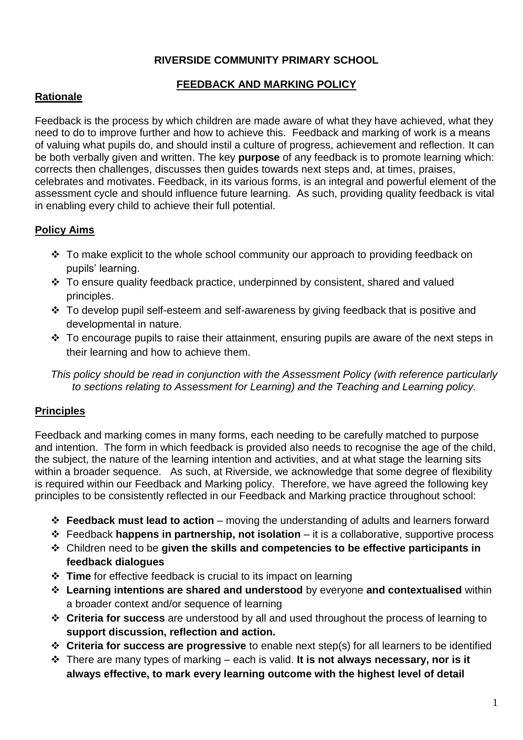## **RIVERSIDE COMMUNITY PRIMARY SCHOOL**

## **FEEDBACK AND MARKING POLICY**

## **Rationale**

Feedback is the process by which children are made aware of what they have achieved, what they need to do to improve further and how to achieve this. Feedback and marking of work is a means of valuing what pupils do, and should instil a culture of progress, achievement and reflection. It can be both verbally given and written. The key **purpose** of any feedback is to promote learning which: corrects then challenges, discusses then guides towards next steps and, at times, praises, celebrates and motivates. Feedback, in its various forms, is an integral and powerful element of the assessment cycle and should influence future learning. As such, providing quality feedback is vital in enabling every child to achieve their full potential.

## **Policy Aims**

- $\cdot$  To make explicit to the whole school community our approach to providing feedback on pupils' learning.
- \* To ensure quality feedback practice, underpinned by consistent, shared and valued principles.
- \* To develop pupil self-esteem and self-awareness by giving feedback that is positive and developmental in nature.
- $\cdot$  To encourage pupils to raise their attainment, ensuring pupils are aware of the next steps in their learning and how to achieve them.

*This policy should be read in conjunction with the Assessment Policy (with reference particularly to sections relating to Assessment for Learning) and the Teaching and Learning policy.*

## **Principles**

Feedback and marking comes in many forms, each needing to be carefully matched to purpose and intention. The form in which feedback is provided also needs to recognise the age of the child, the subject, the nature of the learning intention and activities, and at what stage the learning sits within a broader sequence. As such, at Riverside, we acknowledge that some degree of flexibility is required within our Feedback and Marking policy. Therefore, we have agreed the following key principles to be consistently reflected in our Feedback and Marking practice throughout school:

- **Feedback must lead to action** moving the understanding of adults and learners forward
- Feedback **happens in partnership, not isolation** it is a collaborative, supportive process
- Children need to be **given the skills and competencies to be effective participants in feedback dialogues**
- **Time** for effective feedback is crucial to its impact on learning
- **Learning intentions are shared and understood** by everyone **and contextualised** within a broader context and/or sequence of learning
- **Criteria for success** are understood by all and used throughout the process of learning to **support discussion, reflection and action.**
- **Criteria for success are progressive** to enable next step(s) for all learners to be identified
- There are many types of marking each is valid. **It is not always necessary, nor is it always effective, to mark every learning outcome with the highest level of detail**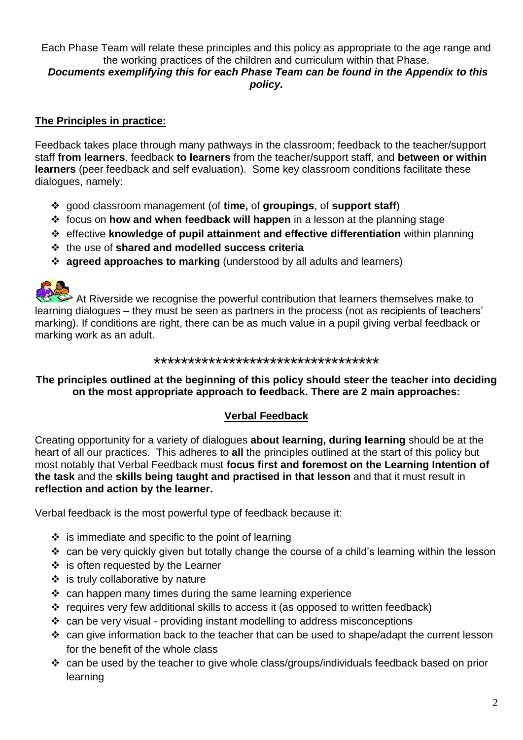# Each Phase Team will relate these principles and this policy as appropriate to the age range and the working practices of the children and curriculum within that Phase.

#### *Documents exemplifying this for each Phase Team can be found in the Appendix to this policy.*

### **The Principles in practice:**

Feedback takes place through many pathways in the classroom; feedback to the teacher/support staff **from learners**, feedback **to learners** from the teacher/support staff, and **between or within learners** (peer feedback and self evaluation). Some key classroom conditions facilitate these dialogues, namely:

- good classroom management (of **time,** of **groupings**, of **support staff**)
- focus on **how and when feedback will happen** in a lesson at the planning stage
- effective **knowledge of pupil attainment and effective differentiation** within planning
- the use of **shared and modelled success criteria**
- **agreed approaches to marking** (understood by all adults and learners)



At Riverside we recognise the powerful contribution that learners themselves make to learning dialogues – they must be seen as partners in the process (not as recipients of teachers' marking). If conditions are right, there can be as much value in a pupil giving verbal feedback or marking work as an adult.

#### \*\*\*\*\*\*\*\*\*\*\*\*\*\*\*\*\*\*\*\*\*\*\*\*\*\*\*\*\*\*\*\*\*

**The principles outlined at the beginning of this policy should steer the teacher into deciding on the most appropriate approach to feedback. There are 2 main approaches:**

#### **Verbal Feedback**

Creating opportunity for a variety of dialogues **about learning, during learning** should be at the heart of all our practices. This adheres to **all** the principles outlined at the start of this policy but most notably that Verbal Feedback must **focus first and foremost on the Learning Intention of the task** and the **skills being taught and practised in that lesson** and that it must result in **reflection and action by the learner.** 

Verbal feedback is the most powerful type of feedback because it:

- $\div$  is immediate and specific to the point of learning
- \* can be very quickly given but totally change the course of a child's learning within the lesson
- $\div$  is often requested by the Learner
- $\div$  is truly collaborative by nature
- $\div$  can happen many times during the same learning experience
- \* requires very few additional skills to access it (as opposed to written feedback)
- $\cdot$  can be very visual providing instant modelling to address misconceptions
- \* can give information back to the teacher that can be used to shape/adapt the current lesson for the benefit of the whole class
- can be used by the teacher to give whole class/groups/individuals feedback based on prior learning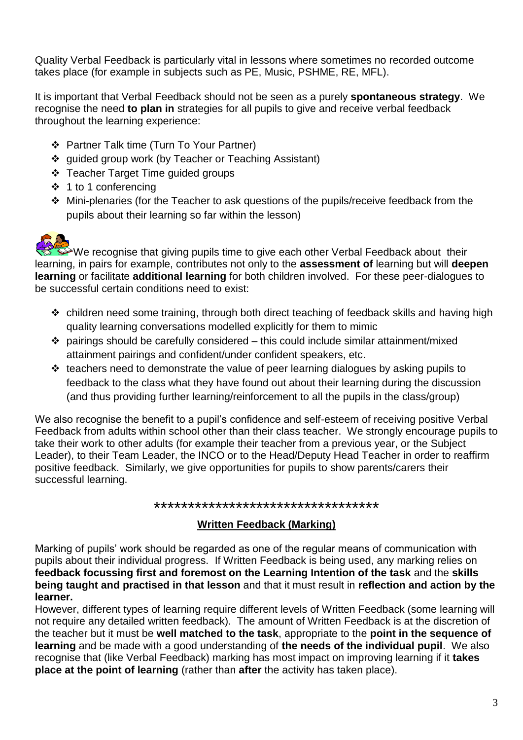Quality Verbal Feedback is particularly vital in lessons where sometimes no recorded outcome takes place (for example in subjects such as PE, Music, PSHME, RE, MFL).

It is important that Verbal Feedback should not be seen as a purely **spontaneous strategy**. We recognise the need **to plan in** strategies for all pupils to give and receive verbal feedback throughout the learning experience:

- Partner Talk time (Turn To Your Partner)
- ❖ quided group work (by Teacher or Teaching Assistant)
- Teacher Target Time guided groups
- 1 to 1 conferencing
- Mini-plenaries (for the Teacher to ask questions of the pupils/receive feedback from the pupils about their learning so far within the lesson)



 $\blacktriangleright$ We recognise that giving pupils time to give each other Verbal Feedback about their learning, in pairs for example, contributes not only to the **assessment of** learning but will **deepen learning** or facilitate **additional learning** for both children involved. For these peer-dialogues to be successful certain conditions need to exist:

- \* children need some training, through both direct teaching of feedback skills and having high quality learning conversations modelled explicitly for them to mimic
- $\cdot$  pairings should be carefully considered this could include similar attainment/mixed attainment pairings and confident/under confident speakers, etc.
- $\cdot$  teachers need to demonstrate the value of peer learning dialogues by asking pupils to feedback to the class what they have found out about their learning during the discussion (and thus providing further learning/reinforcement to all the pupils in the class/group)

We also recognise the benefit to a pupil's confidence and self-esteem of receiving positive Verbal Feedback from adults within school other than their class teacher. We strongly encourage pupils to take their work to other adults (for example their teacher from a previous year, or the Subject Leader), to their Team Leader, the INCO or to the Head/Deputy Head Teacher in order to reaffirm positive feedback. Similarly, we give opportunities for pupils to show parents/carers their successful learning.

#### \*\*\*\*\*\*\*\*\*\*\*\*\*\*\*\*\*\*\*\*\*\*\*\*\*\*\*\*\*\*\*\*\*

## **Written Feedback (Marking)**

Marking of pupils' work should be regarded as one of the regular means of communication with pupils about their individual progress. If Written Feedback is being used, any marking relies on **feedback focussing first and foremost on the Learning Intention of the task** and the **skills being taught and practised in that lesson** and that it must result in **reflection and action by the learner.** 

However, different types of learning require different levels of Written Feedback (some learning will not require any detailed written feedback). The amount of Written Feedback is at the discretion of the teacher but it must be **well matched to the task**, appropriate to the **point in the sequence of learning** and be made with a good understanding of **the needs of the individual pupil**. We also recognise that (like Verbal Feedback) marking has most impact on improving learning if it **takes place at the point of learning** (rather than **after** the activity has taken place).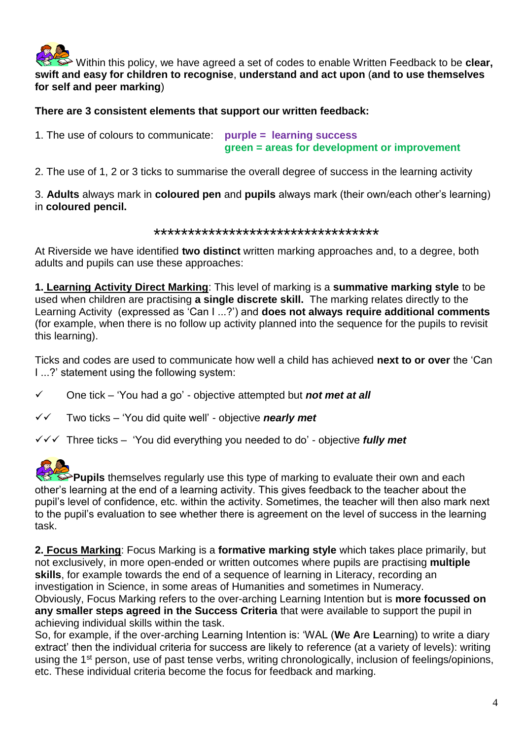

Within this policy, we have agreed a set of codes to enable Written Feedback to be **clear, swift and easy for children to recognise**, **understand and act upon** (**and to use themselves for self and peer marking**)

#### **There are 3 consistent elements that support our written feedback:**

1. The use of colours to communicate: **purple = learning success green = areas for development or improvement** 

2. The use of 1, 2 or 3 ticks to summarise the overall degree of success in the learning activity

3. **Adults** always mark in **coloured pen** and **pupils** always mark (their own/each other's learning) in **coloured pencil.**

#### \*\*\*\*\*\*\*\*\*\*\*\*\*\*\*\*\*\*\*\*\*\*\*\*\*\*\*\*\*\*\*\*\*

At Riverside we have identified **two distinct** written marking approaches and, to a degree, both adults and pupils can use these approaches:

**1. Learning Activity Direct Marking**: This level of marking is a **summative marking style** to be used when children are practising **a single discrete skill.** The marking relates directly to the Learning Activity (expressed as 'Can I ...?') and **does not always require additional comments** (for example, when there is no follow up activity planned into the sequence for the pupils to revisit this learning).

Ticks and codes are used to communicate how well a child has achieved **next to or over** the 'Can I ...?' statement using the following system:

- One tick 'You had a go' objective attempted but *not met at all*
- Two ticks 'You did quite well' objective *nearly met*
- Three ticks 'You did everything you needed to do' objective *fully met*

**Pupils** themselves regularly use this type of marking to evaluate their own and each other's learning at the end of a learning activity. This gives feedback to the teacher about the pupil's level of confidence, etc. within the activity. Sometimes, the teacher will then also mark next to the pupil's evaluation to see whether there is agreement on the level of success in the learning task.

**2. Focus Marking**: Focus Marking is a **formative marking style** which takes place primarily, but not exclusively, in more open-ended or written outcomes where pupils are practising **multiple skills**, for example towards the end of a sequence of learning in Literacy, recording an investigation in Science, in some areas of Humanities and sometimes in Numeracy.

Obviously, Focus Marking refers to the over-arching Learning Intention but is **more focussed on any smaller steps agreed in the Success Criteria** that were available to support the pupil in achieving individual skills within the task.

So, for example, if the over-arching Learning Intention is: 'WAL (**W**e **A**re **L**earning) to write a diary extract' then the individual criteria for success are likely to reference (at a variety of levels): writing using the 1<sup>st</sup> person, use of past tense verbs, writing chronologically, inclusion of feelings/opinions, etc. These individual criteria become the focus for feedback and marking.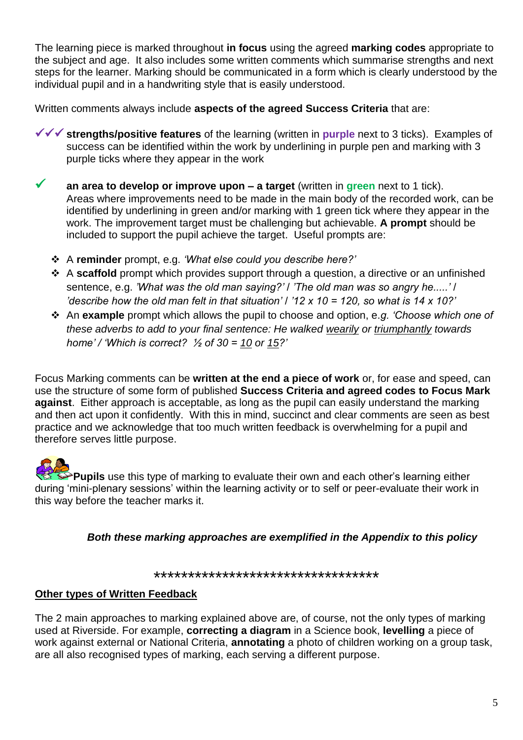The learning piece is marked throughout **in focus** using the agreed **marking codes** appropriate to the subject and age. It also includes some written comments which summarise strengths and next steps for the learner. Marking should be communicated in a form which is clearly understood by the individual pupil and in a handwriting style that is easily understood.

Written comments always include **aspects of the agreed Success Criteria** that are:

- **v v strengths/positive features** of the learning (written in **purple** next to 3 ticks). Examples of success can be identified within the work by underlining in purple pen and marking with 3 purple ticks where they appear in the work
- **an area to develop or improve upon – a target** (written in **green** next to 1 tick). Areas where improvements need to be made in the main body of the recorded work, can be identified by underlining in green and/or marking with 1 green tick where they appear in the work. The improvement target must be challenging but achievable. **A prompt** should be included to support the pupil achieve the target. Useful prompts are:
	- A **reminder** prompt, e.g. *'What else could you describe here?'*
	- A **scaffold** prompt which provides support through a question, a directive or an unfinished sentence, e.g. *'What was the old man saying?'* / *'The old man was so angry he.....'* / *'describe how the old man felt in that situation' / '12 x 10 = 120, so what is 14 x 10?'*
	- An **example** prompt which allows the pupil to choose and option, e.*g. 'Choose which one of these adverbs to add to your final sentence: He walked wearily or triumphantly towards home' / 'Which is correct? ½ of 30 = 10 or 15?'*

Focus Marking comments can be **written at the end a piece of work** or, for ease and speed, can use the structure of some form of published **Success Criteria and agreed codes to Focus Mark against**. Either approach is acceptable, as long as the pupil can easily understand the marking and then act upon it confidently. With this in mind, succinct and clear comments are seen as best practice and we acknowledge that too much written feedback is overwhelming for a pupil and therefore serves little purpose.

**Pupils** use this type of marking to evaluate their own and each other's learning either during 'mini-plenary sessions' within the learning activity or to self or peer-evaluate their work in this way before the teacher marks it.

*Both these marking approaches are exemplified in the Appendix to this policy*

\*\*\*\*\*\*\*\*\*\*\*\*\*\*\*\*\*\*\*\*\*\*\*\*\*\*\*\*\*\*\*\*\*

#### **Other types of Written Feedback**

The 2 main approaches to marking explained above are, of course, not the only types of marking used at Riverside. For example, **correcting a diagram** in a Science book, **levelling** a piece of work against external or National Criteria, **annotating** a photo of children working on a group task, are all also recognised types of marking, each serving a different purpose.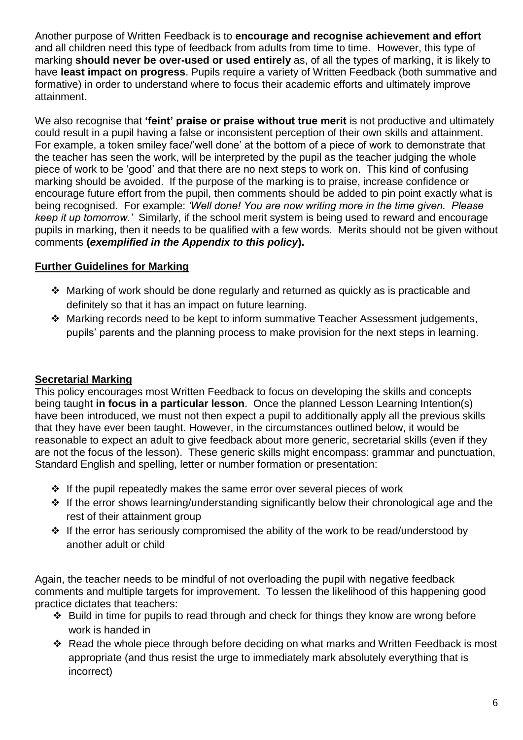Another purpose of Written Feedback is to **encourage and recognise achievement and effort** and all children need this type of feedback from adults from time to time. However, this type of marking **should never be over-used or used entirely** as, of all the types of marking, it is likely to have **least impact on progress**. Pupils require a variety of Written Feedback (both summative and formative) in order to understand where to focus their academic efforts and ultimately improve attainment.

We also recognise that **'feint' praise or praise without true merit** is not productive and ultimately could result in a pupil having a false or inconsistent perception of their own skills and attainment. For example, a token smiley face/'well done' at the bottom of a piece of work to demonstrate that the teacher has seen the work, will be interpreted by the pupil as the teacher judging the whole piece of work to be 'good' and that there are no next steps to work on. This kind of confusing marking should be avoided. If the purpose of the marking is to praise, increase confidence or encourage future effort from the pupil, then comments should be added to pin point exactly what is being recognised. For example: *'Well done! You are now writing more in the time given. Please keep it up tomorrow.'* Similarly, if the school merit system is being used to reward and encourage pupils in marking, then it needs to be qualified with a few words. Merits should not be given without comments **(***exemplified in the Appendix to this policy***).**

## **Further Guidelines for Marking**

- Marking of work should be done regularly and returned as quickly as is practicable and definitely so that it has an impact on future learning.
- Marking records need to be kept to inform summative Teacher Assessment judgements, pupils' parents and the planning process to make provision for the next steps in learning.

## **Secretarial Marking**

This policy encourages most Written Feedback to focus on developing the skills and concepts being taught **in focus in a particular lesson**. Once the planned Lesson Learning Intention(s) have been introduced, we must not then expect a pupil to additionally apply all the previous skills that they have ever been taught. However, in the circumstances outlined below, it would be reasonable to expect an adult to give feedback about more generic, secretarial skills (even if they are not the focus of the lesson). These generic skills might encompass: grammar and punctuation, Standard English and spelling, letter or number formation or presentation:

- $\cdot$  If the pupil repeatedly makes the same error over several pieces of work
- $\cdot$  If the error shows learning/understanding significantly below their chronological age and the rest of their attainment group
- $\cdot \cdot$  If the error has seriously compromised the ability of the work to be read/understood by another adult or child

Again, the teacher needs to be mindful of not overloading the pupil with negative feedback comments and multiple targets for improvement. To lessen the likelihood of this happening good practice dictates that teachers:

- $\div$  Build in time for pupils to read through and check for things they know are wrong before work is handed in
- Read the whole piece through before deciding on what marks and Written Feedback is most appropriate (and thus resist the urge to immediately mark absolutely everything that is incorrect)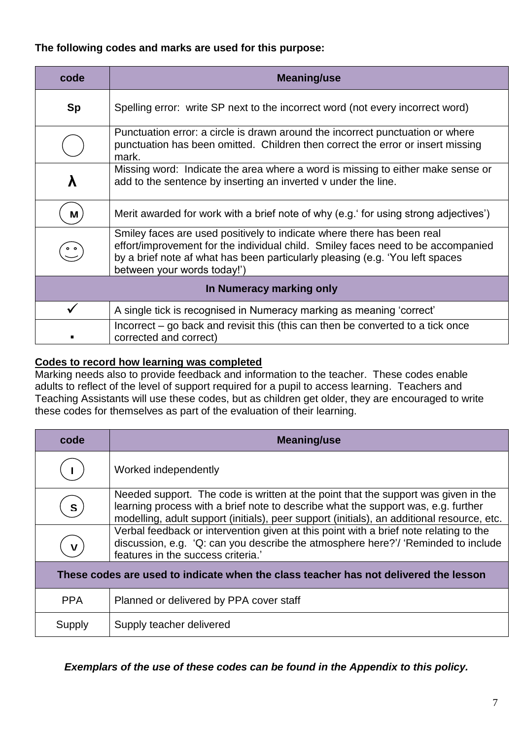### **The following codes and marks are used for this purpose:**

| code                     | Meaning/use                                                                                                                                                                                                                                                                |
|--------------------------|----------------------------------------------------------------------------------------------------------------------------------------------------------------------------------------------------------------------------------------------------------------------------|
| <b>Sp</b>                | Spelling error: write SP next to the incorrect word (not every incorrect word)                                                                                                                                                                                             |
|                          | Punctuation error: a circle is drawn around the incorrect punctuation or where<br>punctuation has been omitted. Children then correct the error or insert missing<br>mark.                                                                                                 |
|                          | Missing word: Indicate the area where a word is missing to either make sense or<br>add to the sentence by inserting an inverted v under the line.                                                                                                                          |
| M                        | Merit awarded for work with a brief note of why (e.g. for using strong adjectives')                                                                                                                                                                                        |
|                          | Smiley faces are used positively to indicate where there has been real<br>effort/improvement for the individual child. Smiley faces need to be accompanied<br>by a brief note af what has been particularly pleasing (e.g. 'You left spaces<br>between your words today!') |
| In Numeracy marking only |                                                                                                                                                                                                                                                                            |
|                          | A single tick is recognised in Numeracy marking as meaning 'correct'                                                                                                                                                                                                       |
|                          | Incorrect – go back and revisit this (this can then be converted to a tick once<br>corrected and correct)                                                                                                                                                                  |

## **Codes to record how learning was completed**

Marking needs also to provide feedback and information to the teacher. These codes enable adults to reflect of the level of support required for a pupil to access learning. Teachers and Teaching Assistants will use these codes, but as children get older, they are encouraged to write these codes for themselves as part of the evaluation of their learning.

| code                                                                                 | Meaning/use                                                                                                                                                                                                                                                           |
|--------------------------------------------------------------------------------------|-----------------------------------------------------------------------------------------------------------------------------------------------------------------------------------------------------------------------------------------------------------------------|
|                                                                                      | Worked independently                                                                                                                                                                                                                                                  |
| S                                                                                    | Needed support. The code is written at the point that the support was given in the<br>learning process with a brief note to describe what the support was, e.g. further<br>modelling, adult support (initials), peer support (initials), an additional resource, etc. |
| $\mathbf v$                                                                          | Verbal feedback or intervention given at this point with a brief note relating to the<br>discussion, e.g. 'Q: can you describe the atmosphere here?'/ 'Reminded to include<br>features in the success criteria.                                                       |
| These codes are used to indicate when the class teacher has not delivered the lesson |                                                                                                                                                                                                                                                                       |
| <b>PPA</b>                                                                           | Planned or delivered by PPA cover staff                                                                                                                                                                                                                               |
| Supply                                                                               | Supply teacher delivered                                                                                                                                                                                                                                              |

*Exemplars of the use of these codes can be found in the Appendix to this policy.*